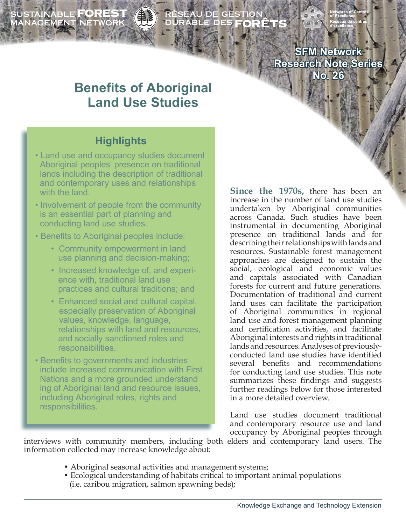SUSTAINABLE **FOREST**<br>MANAGEMENT NETWORK ÉSEAU DE GESTION<br>URABLE DES **FORÊT**S

> **SFM Network Research Note Series No. 26**

# **Benefits of Aboriginal Land Use Studies**

# **Highlights**

- Land use and occupancy studies document Aboriginal peoples' presence on traditional lands including the description of traditional and contemporary uses and relationships with the land.
- Involvement of people from the community is an essential part of planning and conducting land use studies.
- Benefits to Aboriginal peoples include:
	- Community empowerment in land use planning and decision-making;
	- Increased knowledge of, and experi ence with, traditional land use practices and cultural traditions; and
	- Enhanced social and cultural capital, especially preservation of Aboriginal values, knowledge, language, relationships with land and resources, and socially sanctioned roles and responsibilities.
- Benefits to governments and industries include increased communication with First Nations and a more grounded understand ing of Aboriginal land and resource issues, including Aboriginal roles, rights and responsibilities.

**Since the 1970s,** there has been an increase in the number of land use studies undertaken by Aboriginal communities across Canada. Such studies have been instrumental in documenting Aboriginal presence on traditional lands and for describing their relationships with lands and resources. Sustainable forest management approaches are designed to sustain the social, ecological and economic values and capitals associated with Canadian forests for current and future generations. Documentation of traditional and current land uses can facilitate the participation of Aboriginal communities in regional land use and forest management planning and certification activities, and facilitate Aboriginal interests and rights in traditional lands and resources. Analyses of previouslyconducted land use studies have identified several benefits and recommendations for conducting land use studies. This note summarizes these findings and suggests further readings below for those interested in a more detailed overview.

Land use studies document traditional and contemporary resource use and land occupancy by Aboriginal peoples through

interviews with community members, including both elders and contemporary land users. The information collected may increase knowledge about:

- Aboriginal seasonal activities and management systems;
- Ecological understanding of habitats critical to important animal populations (i.e. caribou migration, salmon spawning beds);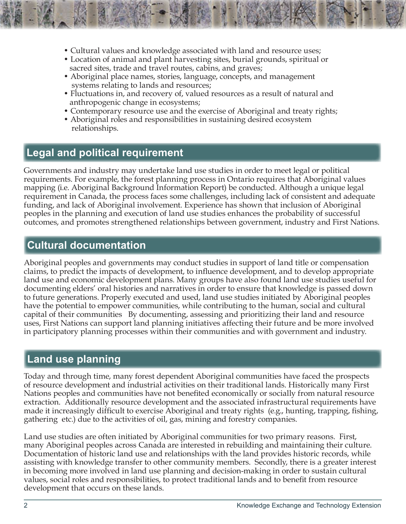- Cultural values and knowledge associated with land and resource uses;
- Location of animal and plant harvesting sites, burial grounds, spiritual or sacred sites, trade and travel routes, cabins, and graves;
- Aboriginal place names, stories, language, concepts, and management systems relating to lands and resources;
- Fluctuations in, and recovery of, valued resources as a result of natural and anthropogenic change in ecosystems;
- Contemporary resource use and the exercise of Aboriginal and treaty rights;
- Aboriginal roles and responsibilities in sustaining desired ecosystem relationships.

# **Legal and political requirement**

Governments and industry may undertake land use studies in order to meet legal or political requirements. For example, the forest planning process in Ontario requires that Aboriginal values mapping (i.e. Aboriginal Background Information Report) be conducted. Although a unique legal requirement in Canada, the process faces some challenges, including lack of consistent and adequate funding, and lack of Aboriginal involvement. Experience has shown that inclusion of Aboriginal peoples in the planning and execution of land use studies enhances the probability of successful outcomes, and promotes strengthened relationships between government, industry and First Nations.

### **Cultural documentation**

Aboriginal peoples and governments may conduct studies in support of land title or compensation claims, to predict the impacts of development, to influence development, and to develop appropriate land use and economic development plans. Many groups have also found land use studies useful for documenting elders' oral histories and narratives in order to ensure that knowledge is passed down to future generations. Properly executed and used, land use studies initiated by Aboriginal peoples have the potential to empower communities, while contributing to the human, social and cultural capital of their communities By documenting, assessing and prioritizing their land and resource uses, First Nations can support land planning initiatives affecting their future and be more involved in participatory planning processes within their communities and with government and industry.

### **Land use planning**

Today and through time, many forest dependent Aboriginal communities have faced the prospects of resource development and industrial activities on their traditional lands. Historically many First Nations peoples and communities have not benefited economically or socially from natural resource extraction. Additionally resource development and the associated infrastructural requirements have made it increasingly difficult to exercise Aboriginal and treaty rights (e.g., hunting, trapping, fishing, gathering etc.) due to the activities of oil, gas, mining and forestry companies.

Land use studies are often initiated by Aboriginal communities for two primary reasons. First, many Aboriginal peoples across Canada are interested in rebuilding and maintaining their culture. Documentation of historic land use and relationships with the land provides historic records, while assisting with knowledge transfer to other community members. Secondly, there is a greater interest in becoming more involved in land use planning and decision-making in order to sustain cultural values, social roles and responsibilities, to protect traditional lands and to benefit from resource development that occurs on these lands.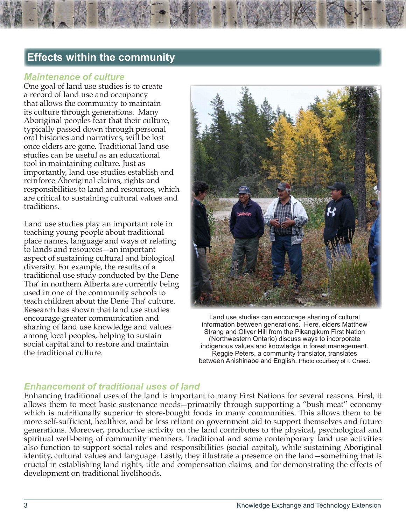# **Effects within the community**

#### *Maintenance of culture*

One goal of land use studies is to create a record of land use and occupancy that allows the community to maintain its culture through generations. Many Aboriginal peoples fear that their culture, typically passed down through personal oral histories and narratives, will be lost once elders are gone. Traditional land use studies can be useful as an educational tool in maintaining culture. Just as importantly, land use studies establish and reinforce Aboriginal claims, rights and responsibilities to land and resources, which are critical to sustaining cultural values and traditions.

Land use studies play an important role in teaching young people about traditional place names, language and ways of relating to lands and resources—an important aspect of sustaining cultural and biological diversity. For example, the results of a traditional use study conducted by the Dene Tha' in northern Alberta are currently being used in one of the community schools to teach children about the Dene Tha' culture. Research has shown that land use studies encourage greater communication and sharing of land use knowledge and values among local peoples, helping to sustain social capital and to restore and maintain the traditional culture.



Land use studies can encourage sharing of cultural information between generations. Here, elders Matthew Strang and Oliver Hill from the Pikangikum First Nation (Northwestern Ontario) discuss ways to incorporate indigenous values and knowledge in forest management. Reggie Peters, a community translator, translates between Anishinabe and English. Photo courtesy of I. Creed.

#### *Enhancement of traditional uses of land*

Enhancing traditional uses of the land is important to many First Nations for several reasons. First, it allows them to meet basic sustenance needs—primarily through supporting a "bush meat" economy which is nutritionally superior to store-bought foods in many communities. This allows them to be more self-sufficient, healthier, and be less reliant on government aid to support themselves and future generations. Moreover, productive activity on the land contributes to the physical, psychological and spiritual well-being of community members. Traditional and some contemporary land use activities also function to support social roles and responsibilities (social capital), while sustaining Aboriginal identity, cultural values and language. Lastly, they illustrate a presence on the land—something that is crucial in establishing land rights, title and compensation claims, and for demonstrating the effects of development on traditional livelihoods.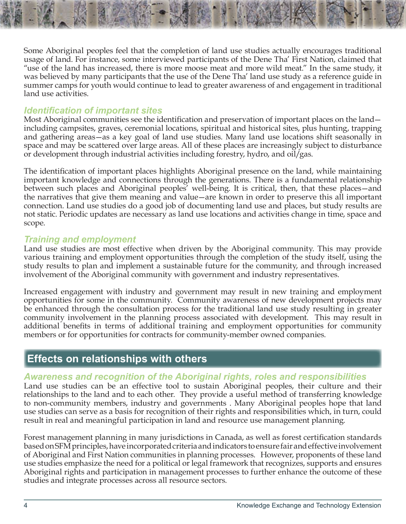Some Aboriginal peoples feel that the completion of land use studies actually encourages traditional usage of land. For instance, some interviewed participants of the Dene Tha' First Nation, claimed that "use of the land has increased, there is more moose meat and more wild meat." In the same study, it was believed by many participants that the use of the Dene Tha' land use study as a reference guide in summer camps for youth would continue to lead to greater awareness of and engagement in traditional land use activities.

#### *Identification of important sites*

Most Aboriginal communities see the identification and preservation of important places on the land including campsites, graves, ceremonial locations, spiritual and historical sites, plus hunting, trapping and gathering areas—as a key goal of land use studies. Many land use locations shift seasonally in space and may be scattered over large areas. All of these places are increasingly subject to disturbance or development through industrial activities including forestry, hydro, and oil/gas.

The identification of important places highlights Aboriginal presence on the land, while maintaining important knowledge and connections through the generations. There is a fundamental relationship between such places and Aboriginal peoples' well-being. It is critical, then, that these places—and the narratives that give them meaning and value—are known in order to preserve this all important connection. Land use studies do a good job of documenting land use and places, but study results are not static. Periodic updates are necessary as land use locations and activities change in time, space and scope.

#### *Training and employment*

Land use studies are most effective when driven by the Aboriginal community. This may provide various training and employment opportunities through the completion of the study itself, using the study results to plan and implement a sustainable future for the community, and through increased involvement of the Aboriginal community with government and industry representatives.

Increased engagement with industry and government may result in new training and employment opportunities for some in the community. Community awareness of new development projects may be enhanced through the consultation process for the traditional land use study resulting in greater community involvement in the planning process associated with development. This may result in additional benefits in terms of additional training and employment opportunities for community members or for opportunities for contracts for community-member owned companies.

### **Effects on relationships with others**

#### *Awareness and recognition of the Aboriginal rights, roles and responsibilities*

Land use studies can be an effective tool to sustain Aboriginal peoples, their culture and their relationships to the land and to each other. They provide a useful method of transferring knowledge to non-community members, industry and governments . Many Aboriginal peoples hope that land use studies can serve as a basis for recognition of their rights and responsibilities which, in turn, could result in real and meaningful participation in land and resource use management planning.

Forest management planning in many jurisdictions in Canada, as well as forest certification standards based on SFM principles, have incorporated criteria and indicators to ensure fair and effective involvement of Aboriginal and First Nation communities in planning processes. However, proponents of these land use studies emphasize the need for a political or legal framework that recognizes, supports and ensures Aboriginal rights and participation in management processes to further enhance the outcome of these studies and integrate processes across all resource sectors.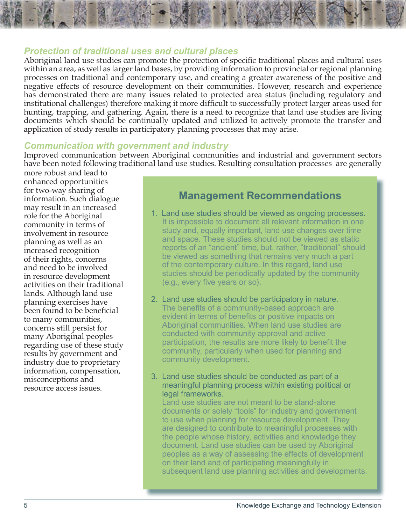#### <span id="page-4-0"></span>*Protection of traditional uses and cultural places*

Aboriginal land use studies can promote the protection of specific traditional places and cultural uses within an area, as well as larger land bases, by providing information to provincial or regional planning processes on traditional and contemporary use, and creating a greater awareness of the positive and negative effects of resource development on their communities. However, research and experience has demonstrated there are many issues related to protected area status (including regulatory and institutional challenges) therefore making it more difficult to successfully protect larger areas used for hunting, trapping, and gathering. Again, there is a need to recognize that land use studies are living documents which should be continually updated and utilized to actively promote the transfer and application of study results in participatory planning processes that may arise.

#### *Communication with government and industry*

Improved communication between Aboriginal communities and industrial and government sectors have been noted following traditional land use studies. Resulting consultation processes are generally

more robust and lead to enhanced opportunities for two-way sharing of information. Such dialogue may result in an increased role for the Aboriginal community in terms of involvement in resource planning as well as an increased recognition of their rights, concerns and need to be involved in resource development activities on their traditional lands. Although land use planning exercises have been found to be beneficial to many communities, concerns still persist for many Aboriginal peoples regarding use of these study results by government and industry due to proprietary information, compensation, misconceptions and resource access issues.

### **Management Recommendations**

- 1. Land use studies should be viewed as ongoing processes. It is impossible to document all relevant information in one study and, equally important, land use changes over time and space. These studies should not be viewed as static reports of an "ancient" time, but, rather, "traditional" should be viewed as something that remains very much a part of the contemporary culture. In this regard, land use studies should be periodically updated by the community (e.g., every five years or so).
- 2. Land use studies should be participatory in nature. The benefits of a community-based approach are evident in terms of benefits or positive impacts on Aboriginal communities. When land use studies are conducted with community approval and active participation, the results are more likely to benefit the community, particularly when used for planning and community development.
- 3. Land use studies should be conducted as part of a meaningful planning process within existing political or legal frameworks.

 Land use studies are not meant to be stand-alone documents or solely "tools" for industry and government to use when planning for resource development. They are designed to contribute to meaningful processes with the people whose history, activities and knowledge they document. Land use studies can be used by Aboriginal peoples as a way of assessing the effects of development on their land and of participating meaningfully in subsequent land use planning activities and developments.